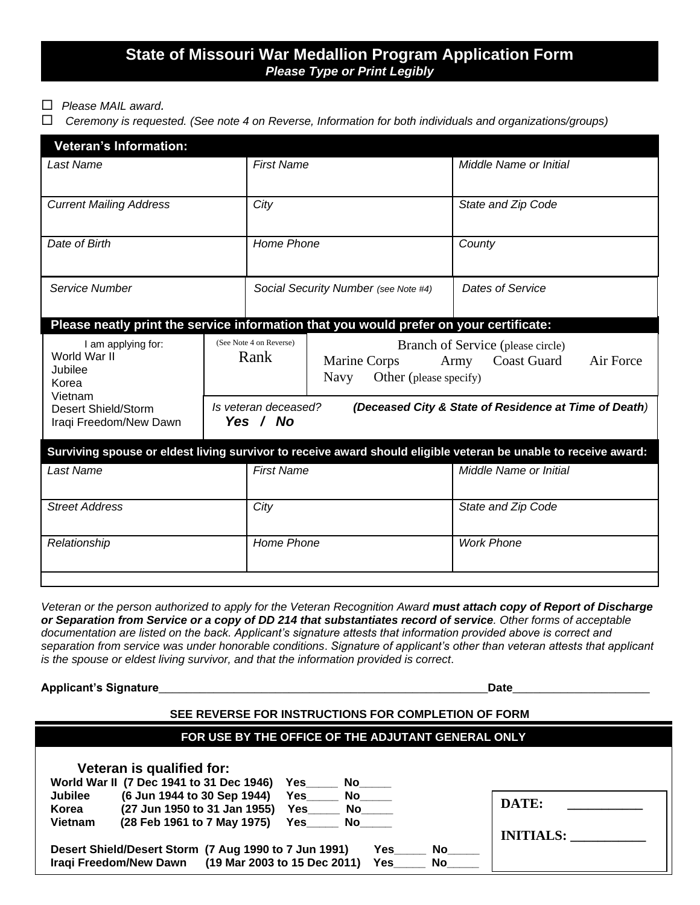# **State of Missouri War Medallion Program Application Form** *Please Type or Print Legibly*

- *Please MAIL award.*
- *Ceremony is requested. (See note 4 on Reverse, Information for both individuals and organizations/groups)*

| <b>Veteran's Information:</b>                                                                                      |                                                                                           |                                      |                                                                                                                                       |                                                                                                                 |  |
|--------------------------------------------------------------------------------------------------------------------|-------------------------------------------------------------------------------------------|--------------------------------------|---------------------------------------------------------------------------------------------------------------------------------------|-----------------------------------------------------------------------------------------------------------------|--|
| <b>Last Name</b>                                                                                                   |                                                                                           | <b>First Name</b>                    |                                                                                                                                       | Middle Name or Initial                                                                                          |  |
| <b>Current Mailing Address</b>                                                                                     |                                                                                           | City                                 |                                                                                                                                       | State and Zip Code                                                                                              |  |
| Date of Birth                                                                                                      |                                                                                           | Home Phone                           |                                                                                                                                       | County                                                                                                          |  |
| Service Number                                                                                                     |                                                                                           | Social Security Number (see Note #4) |                                                                                                                                       | Dates of Service                                                                                                |  |
| Please neatly print the service information that you would prefer on your certificate:                             |                                                                                           |                                      |                                                                                                                                       |                                                                                                                 |  |
| I am applying for:<br>World War II<br>Jubilee<br>Korea<br>Vietnam<br>Desert Shield/Storm<br>Iraqi Freedom/New Dawn | (See Note 4 on Reverse)<br>Rank                                                           |                                      | Branch of Service (please circle)<br>Air Force<br><b>Coast Guard</b><br>Marine Corps<br>Army<br>Other (please specify)<br><b>Navy</b> |                                                                                                                 |  |
|                                                                                                                    | Is veteran deceased?<br>(Deceased City & State of Residence at Time of Death)<br>Yes / No |                                      |                                                                                                                                       |                                                                                                                 |  |
|                                                                                                                    |                                                                                           |                                      |                                                                                                                                       | Surviving spouse or eldest living survivor to receive award should eligible veteran be unable to receive award: |  |
| <b>Last Name</b>                                                                                                   |                                                                                           | <b>First Name</b>                    |                                                                                                                                       | Middle Name or Initial                                                                                          |  |
| <b>Street Address</b>                                                                                              |                                                                                           | City                                 |                                                                                                                                       | State and Zip Code                                                                                              |  |
| Relationship                                                                                                       |                                                                                           | Home Phone                           |                                                                                                                                       | <b>Work Phone</b>                                                                                               |  |
|                                                                                                                    |                                                                                           |                                      |                                                                                                                                       |                                                                                                                 |  |

*Veteran or the person authorized to apply for the Veteran Recognition Award must attach copy of Report of Discharge or Separation from Service or a copy of DD 214 that substantiates record of service. Other forms of acceptable documentation are listed on the back. Applicant's signature attests that information provided above is correct and separation from service was under honorable conditions*. *Signature of applicant's other than veteran attests that applicant is the spouse or eldest living survivor, and that the information provided is correct*.

**Applicant's Signature**\_\_\_\_\_\_\_\_\_\_\_\_\_\_\_\_\_\_\_\_\_\_\_\_\_\_\_\_\_\_\_\_\_\_\_\_\_\_\_\_\_\_\_\_\_\_\_\_**Date**\_\_\_\_\_\_\_\_\_\_\_\_\_\_\_\_\_\_\_\_

#### **SEE REVERSE FOR INSTRUCTIONS FOR COMPLETION OF FORM**

## **FOR USE BY THE OFFICE OF THE ADJUTANT GENERAL ONLY**

| Veteran is qualified for:                                           |                  |
|---------------------------------------------------------------------|------------------|
| World War II (7 Dec 1941 to 31 Dec 1946)<br><b>Yes</b><br><b>No</b> |                  |
| (6 Jun 1944 to 30 Sep 1944)<br><b>Jubilee</b><br>No.<br><b>Yes</b>  |                  |
| (27 Jun 1950 to 31 Jan 1955)<br>Korea<br>Yes<br>No.                 | DATE:            |
| <b>Vietnam</b><br>(28 Feb 1961 to 7 May 1975)<br>No.<br><b>Yes</b>  |                  |
|                                                                     | <b>INITIALS:</b> |
| Desert Shield/Desert Storm (7 Aug 1990 to 7 Jun 1991)<br>Yes<br>No. |                  |
| (19 Mar 2003 to 15 Dec 2011)<br>Iraqi Freedom/New Dawn<br>Yes<br>No |                  |